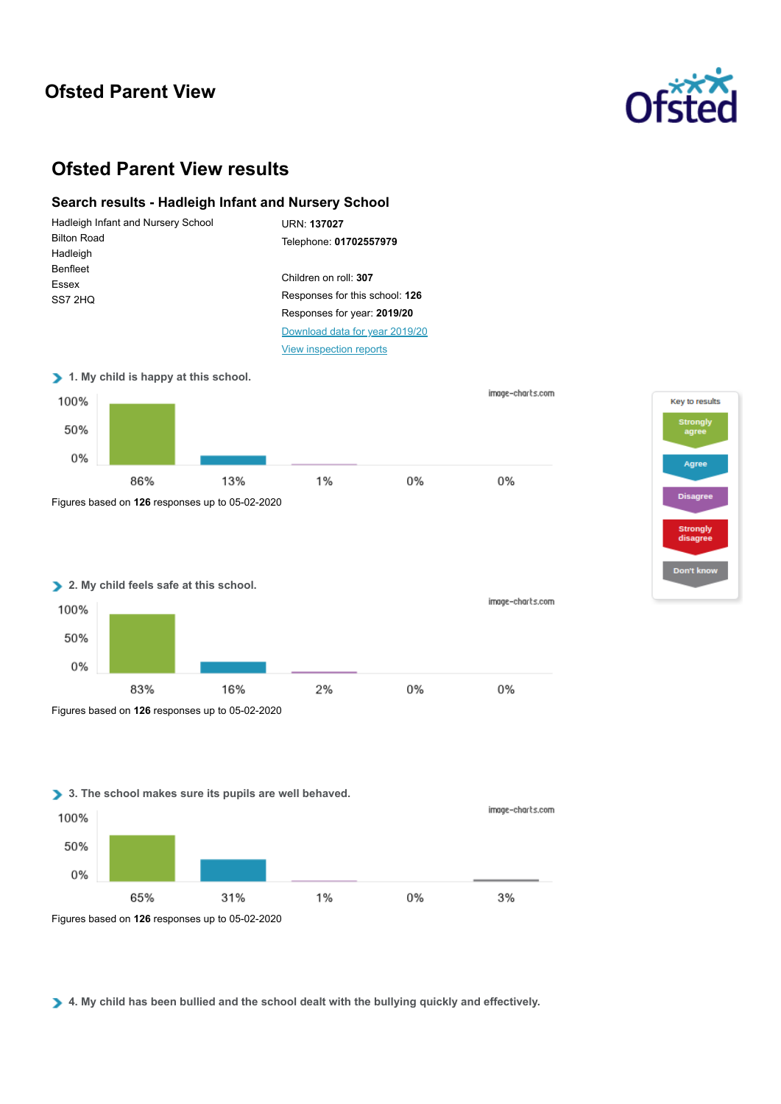# **Ofsted Parent View**



# **Ofsted Parent View results**

## **Search results - Hadleigh Infant and Nursery School**











Figures based on **126** responses up to 05-02-2020

**4. My child has been bullied and the school dealt with the bullying quickly and effectively.**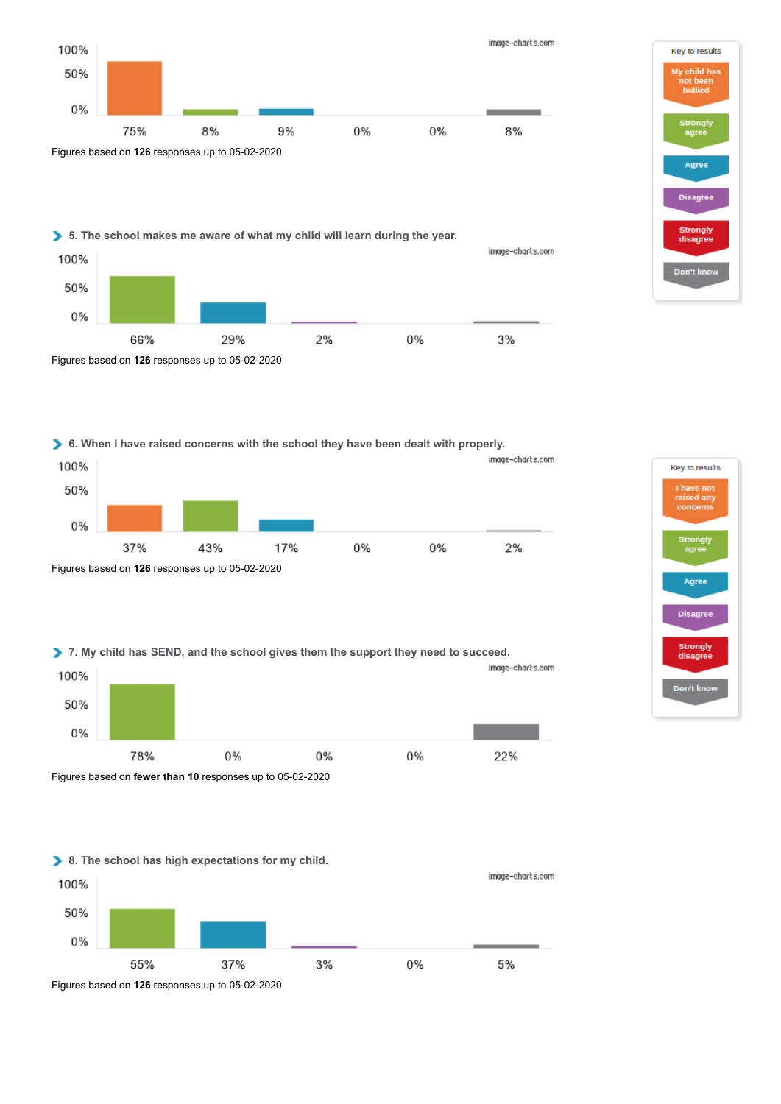

2%

0%

# Key to results My child has bullied Strongl Agree Disagree Strongly<br>disagree Don't kno

image-charts.com

3%

**6. When I have raised concerns with the school they have been dealt with properly.**

29%



**7. My child has SEND, and the school gives them the support they need to succeed.**



Figures based on **fewer than 10** responses up to 05-02-2020

Figures based on **126** responses up to 05-02-2020

66%

100%

50%

0%





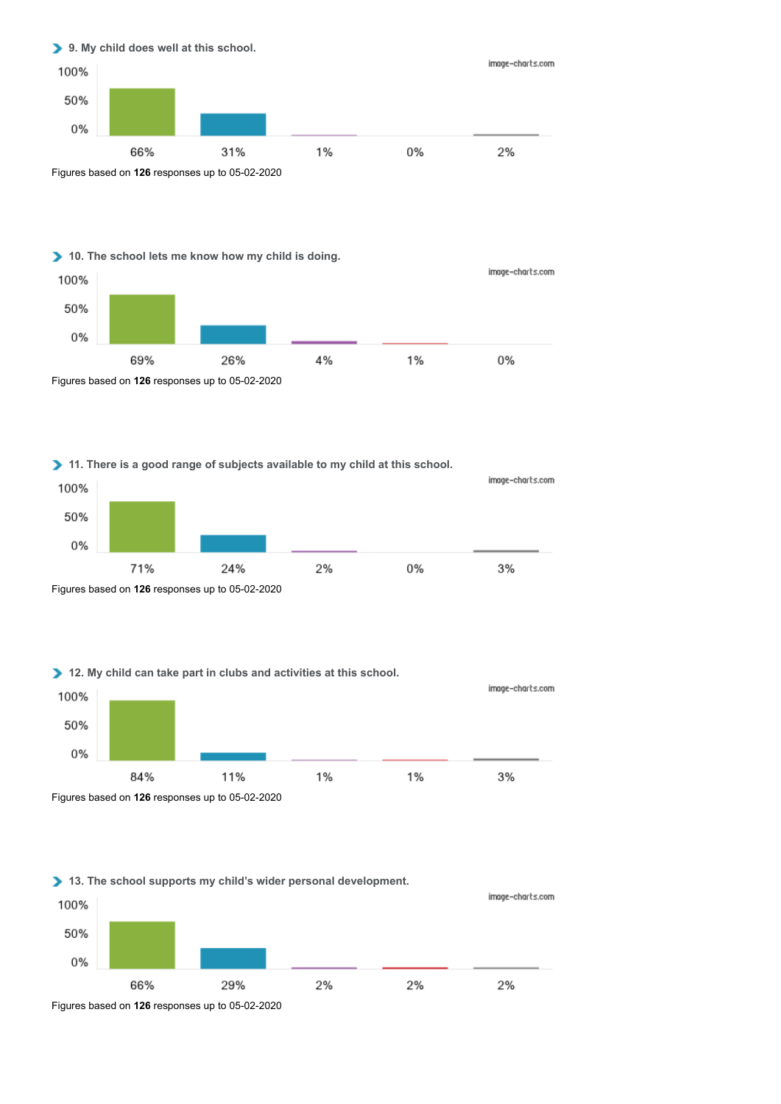

# **10. The school lets me know how my child is doing.**



### **11. There is a good range of subjects available to my child at this school.**



## **12. My child can take part in clubs and activities at this school.**



Figures based on **126** responses up to 05-02-2020

## **13. The school supports my child's wider personal development.**



Figures based on **126** responses up to 05-02-2020